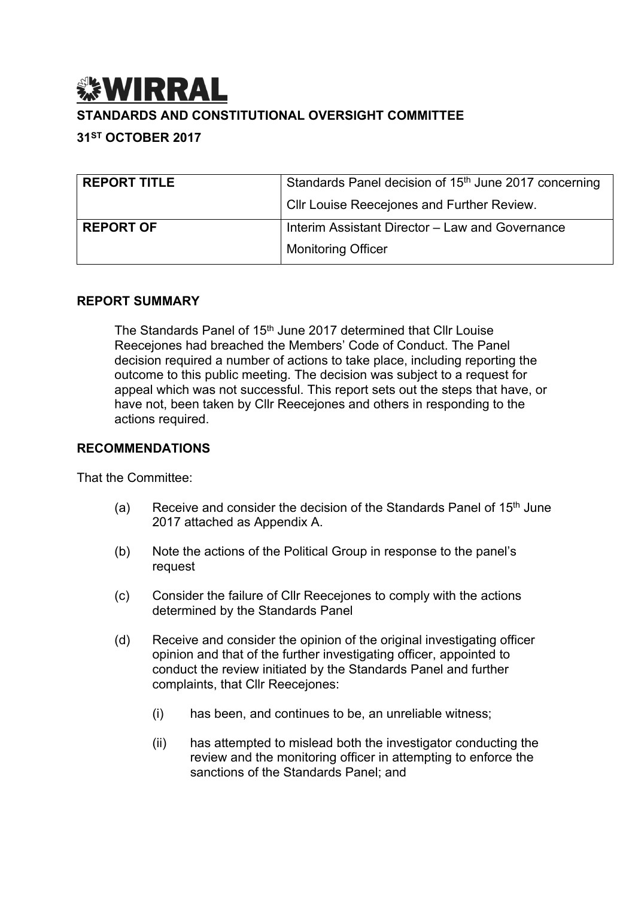# *<b> WIRRAL* **STANDARDS AND CONSTITUTIONAL OVERSIGHT COMMITTEE**

## **31ST OCTOBER 2017**

| <b>REPORT TITLE</b> | Standards Panel decision of 15 <sup>th</sup> June 2017 concerning |
|---------------------|-------------------------------------------------------------------|
|                     | Cllr Louise Reecejones and Further Review.                        |
| <b>REPORT OF</b>    | Interim Assistant Director - Law and Governance                   |
|                     | <b>Monitoring Officer</b>                                         |

#### **REPORT SUMMARY**

The Standards Panel of 15<sup>th</sup> June 2017 determined that Cllr Louise Reecejones had breached the Members' Code of Conduct. The Panel decision required a number of actions to take place, including reporting the outcome to this public meeting. The decision was subject to a request for appeal which was not successful. This report sets out the steps that have, or have not, been taken by Cllr Reecejones and others in responding to the actions required.

#### **RECOMMENDATIONS**

That the Committee:

- (a) Receive and consider the decision of the Standards Panel of  $15<sup>th</sup>$  June 2017 attached as Appendix A.
- (b) Note the actions of the Political Group in response to the panel's request
- (c) Consider the failure of Cllr Reecejones to comply with the actions determined by the Standards Panel
- (d) Receive and consider the opinion of the original investigating officer opinion and that of the further investigating officer, appointed to conduct the review initiated by the Standards Panel and further complaints, that Cllr Reecejones:
	- (i) has been, and continues to be, an unreliable witness;
	- (ii) has attempted to mislead both the investigator conducting the review and the monitoring officer in attempting to enforce the sanctions of the Standards Panel; and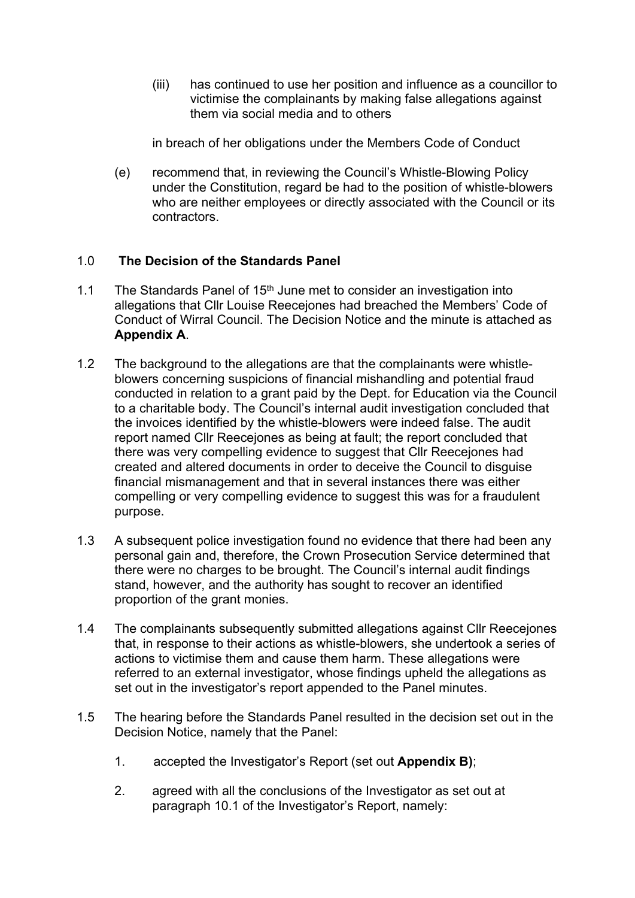(iii) has continued to use her position and influence as a councillor to victimise the complainants by making false allegations against them via social media and to others

in breach of her obligations under the Members Code of Conduct

(e) recommend that, in reviewing the Council's Whistle-Blowing Policy under the Constitution, regard be had to the position of whistle-blowers who are neither employees or directly associated with the Council or its contractors.

## 1.0 **The Decision of the Standards Panel**

- 1.1 The Standards Panel of 15<sup>th</sup> June met to consider an investigation into allegations that Cllr Louise Reecejones had breached the Members' Code of Conduct of Wirral Council. The Decision Notice and the minute is attached as **Appendix A**.
- 1.2 The background to the allegations are that the complainants were whistleblowers concerning suspicions of financial mishandling and potential fraud conducted in relation to a grant paid by the Dept. for Education via the Council to a charitable body. The Council's internal audit investigation concluded that the invoices identified by the whistle-blowers were indeed false. The audit report named Cllr Reecejones as being at fault; the report concluded that there was very compelling evidence to suggest that Cllr Reecejones had created and altered documents in order to deceive the Council to disguise financial mismanagement and that in several instances there was either compelling or very compelling evidence to suggest this was for a fraudulent purpose.
- 1.3 A subsequent police investigation found no evidence that there had been any personal gain and, therefore, the Crown Prosecution Service determined that there were no charges to be brought. The Council's internal audit findings stand, however, and the authority has sought to recover an identified proportion of the grant monies.
- 1.4 The complainants subsequently submitted allegations against Cllr Reecejones that, in response to their actions as whistle-blowers, she undertook a series of actions to victimise them and cause them harm. These allegations were referred to an external investigator, whose findings upheld the allegations as set out in the investigator's report appended to the Panel minutes.
- 1.5 The hearing before the Standards Panel resulted in the decision set out in the Decision Notice, namely that the Panel:
	- 1. accepted the Investigator's Report (set out **Appendix B)**;
	- 2. agreed with all the conclusions of the Investigator as set out at paragraph 10.1 of the Investigator's Report, namely: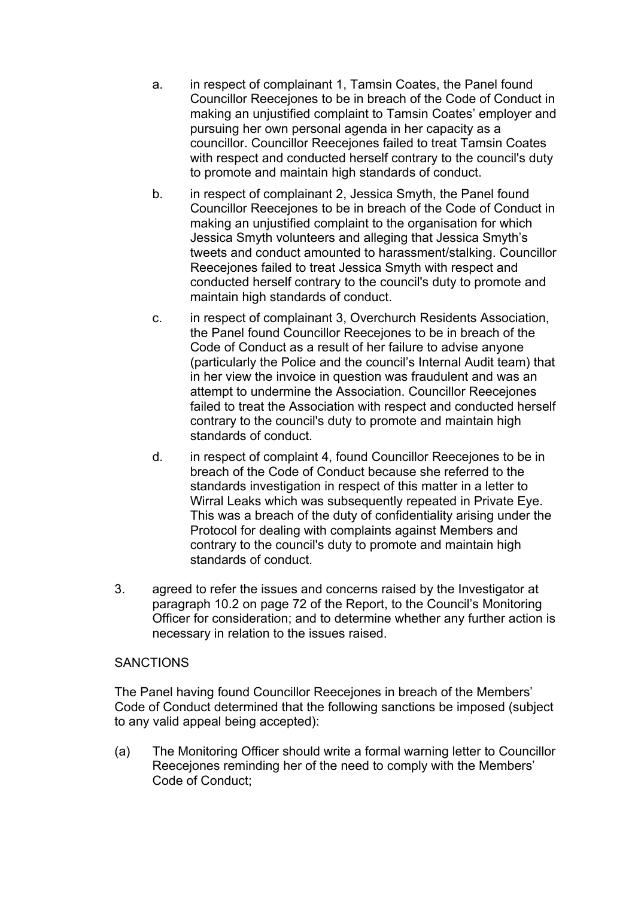- a. in respect of complainant 1, Tamsin Coates, the Panel found Councillor Reecejones to be in breach of the Code of Conduct in making an unjustified complaint to Tamsin Coates' employer and pursuing her own personal agenda in her capacity as a councillor. Councillor Reecejones failed to treat Tamsin Coates with respect and conducted herself contrary to the council's duty to promote and maintain high standards of conduct.
- b. in respect of complainant 2, Jessica Smyth, the Panel found Councillor Reecejones to be in breach of the Code of Conduct in making an unjustified complaint to the organisation for which Jessica Smyth volunteers and alleging that Jessica Smyth's tweets and conduct amounted to harassment/stalking. Councillor Reecejones failed to treat Jessica Smyth with respect and conducted herself contrary to the council's duty to promote and maintain high standards of conduct.
- c. in respect of complainant 3, Overchurch Residents Association, the Panel found Councillor Reecejones to be in breach of the Code of Conduct as a result of her failure to advise anyone (particularly the Police and the council's Internal Audit team) that in her view the invoice in question was fraudulent and was an attempt to undermine the Association. Councillor Reecejones failed to treat the Association with respect and conducted herself contrary to the council's duty to promote and maintain high standards of conduct.
- d. in respect of complaint 4, found Councillor Reecejones to be in breach of the Code of Conduct because she referred to the standards investigation in respect of this matter in a letter to Wirral Leaks which was subsequently repeated in Private Eye. This was a breach of the duty of confidentiality arising under the Protocol for dealing with complaints against Members and contrary to the council's duty to promote and maintain high standards of conduct.
- 3. agreed to refer the issues and concerns raised by the Investigator at paragraph 10.2 on page 72 of the Report, to the Council's Monitoring Officer for consideration; and to determine whether any further action is necessary in relation to the issues raised.

#### **SANCTIONS**

The Panel having found Councillor Reecejones in breach of the Members' Code of Conduct determined that the following sanctions be imposed (subject to any valid appeal being accepted):

(a) The Monitoring Officer should write a formal warning letter to Councillor Reecejones reminding her of the need to comply with the Members' Code of Conduct;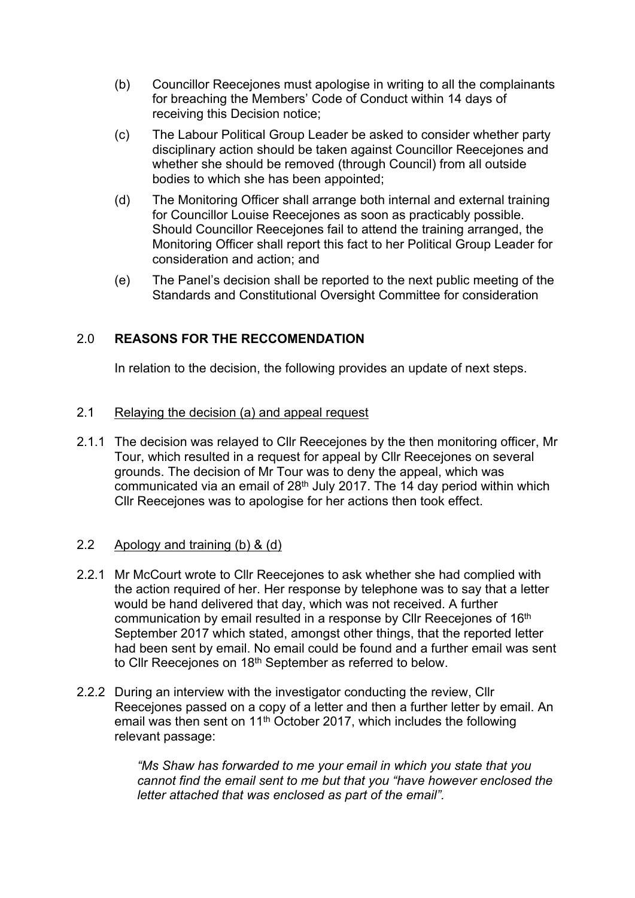- (b) Councillor Reecejones must apologise in writing to all the complainants for breaching the Members' Code of Conduct within 14 days of receiving this Decision notice;
- (c) The Labour Political Group Leader be asked to consider whether party disciplinary action should be taken against Councillor Reecejones and whether she should be removed (through Council) from all outside bodies to which she has been appointed;
- (d) The Monitoring Officer shall arrange both internal and external training for Councillor Louise Reecejones as soon as practicably possible. Should Councillor Reecejones fail to attend the training arranged, the Monitoring Officer shall report this fact to her Political Group Leader for consideration and action; and
- (e) The Panel's decision shall be reported to the next public meeting of the Standards and Constitutional Oversight Committee for consideration

## 2.0 **REASONS FOR THE RECCOMENDATION**

In relation to the decision, the following provides an update of next steps.

#### 2.1 Relaying the decision (a) and appeal request

2.1.1 The decision was relayed to Cllr Reecejones by the then monitoring officer, Mr Tour, which resulted in a request for appeal by Cllr Reecejones on several grounds. The decision of Mr Tour was to deny the appeal, which was communicated via an email of 28th July 2017. The 14 day period within which Cllr Reecejones was to apologise for her actions then took effect.

#### 2.2 Apology and training (b) & (d)

- 2.2.1 Mr McCourt wrote to Cllr Reecejones to ask whether she had complied with the action required of her. Her response by telephone was to say that a letter would be hand delivered that day, which was not received. A further communication by email resulted in a response by Cllr Reecejones of 16<sup>th</sup> September 2017 which stated, amongst other things, that the reported letter had been sent by email. No email could be found and a further email was sent to Cllr Reecejones on 18<sup>th</sup> September as referred to below.
- 2.2.2 During an interview with the investigator conducting the review, Cllr Reecejones passed on a copy of a letter and then a further letter by email. An email was then sent on 11th October 2017, which includes the following relevant passage:

*"Ms Shaw has forwarded to me your email in which you state that you cannot find the email sent to me but that you "have however enclosed the letter attached that was enclosed as part of the email".*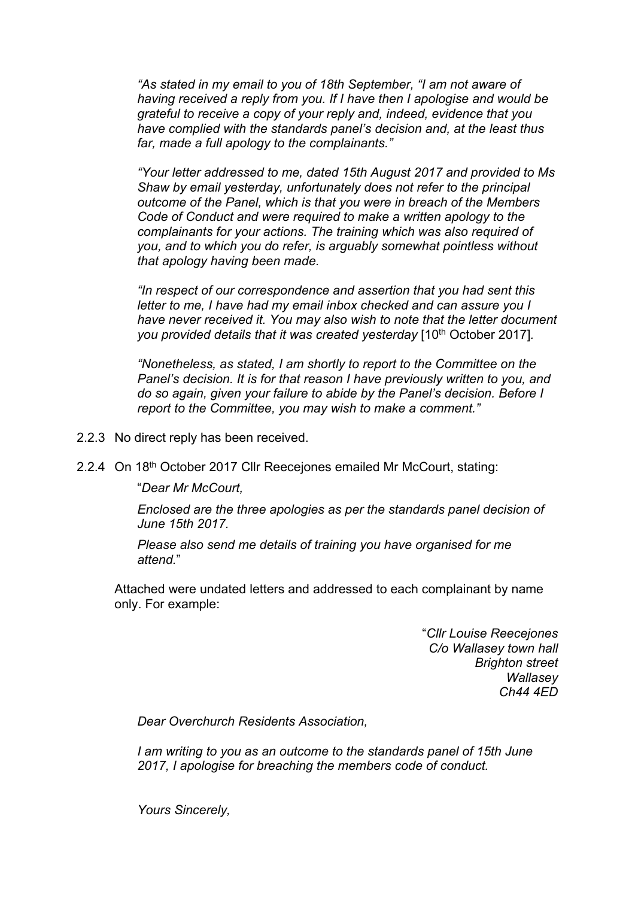*"As stated in my email to you of 18th September, "I am not aware of having received a reply from you. If I have then I apologise and would be grateful to receive a copy of your reply and, indeed, evidence that you have complied with the standards panel's decision and, at the least thus far, made a full apology to the complainants."*

*"Your letter addressed to me, dated 15th August 2017 and provided to Ms Shaw by email yesterday, unfortunately does not refer to the principal outcome of the Panel, which is that you were in breach of the Members Code of Conduct and were required to make a written apology to the complainants for your actions. The training which was also required of you, and to which you do refer, is arguably somewhat pointless without that apology having been made.*

*"In respect of our correspondence and assertion that you had sent this letter to me, I have had my email inbox checked and can assure you I have never received it. You may also wish to note that the letter document you provided details that it was created yesterday* [10<sup>th</sup> October 2017].

*"Nonetheless, as stated, I am shortly to report to the Committee on the Panel's decision. It is for that reason I have previously written to you, and do so again, given your failure to abide by the Panel's decision. Before I report to the Committee, you may wish to make a comment."*

2.2.3 No direct reply has been received.

2.2.4 On 18th October 2017 Cllr Reecejones emailed Mr McCourt, stating:

"*Dear Mr McCourt,*

*Enclosed are the three apologies as per the standards panel decision of June 15th 2017.*

*Please also send me details of training you have organised for me attend.*"

Attached were undated letters and addressed to each complainant by name only. For example:

> "*Cllr Louise Reecejones C/o Wallasey town hall Brighton street Wallasey Ch44 4ED*

*Dear Overchurch Residents Association,*

*I am writing to you as an outcome to the standards panel of 15th June 2017, I apologise for breaching the members code of conduct.*

*Yours Sincerely,*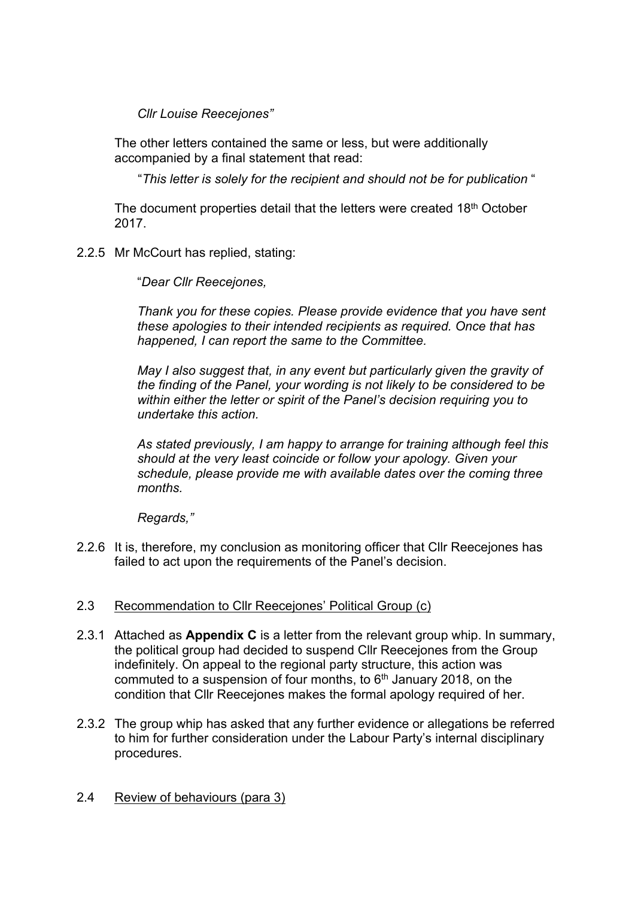*Cllr Louise Reecejones"*

The other letters contained the same or less, but were additionally accompanied by a final statement that read:

"*This letter is solely for the recipient and should not be for publication* "

The document properties detail that the letters were created 18<sup>th</sup> October 2017.

2.2.5 Mr McCourt has replied, stating:

"*Dear Cllr Reecejones,*

*Thank you for these copies. Please provide evidence that you have sent these apologies to their intended recipients as required. Once that has happened, I can report the same to the Committee.*

*May I also suggest that, in any event but particularly given the gravity of the finding of the Panel, your wording is not likely to be considered to be within either the letter or spirit of the Panel's decision requiring you to undertake this action.*

*As stated previously, I am happy to arrange for training although feel this should at the very least coincide or follow your apology. Given your schedule, please provide me with available dates over the coming three months.*

*Regards,"*

2.2.6 It is, therefore, my conclusion as monitoring officer that Cllr Reecejones has failed to act upon the requirements of the Panel's decision.

## 2.3 Recommendation to Cllr Reecejones' Political Group (c)

- 2.3.1 Attached as **Appendix C** is a letter from the relevant group whip. In summary, the political group had decided to suspend Cllr Reecejones from the Group indefinitely. On appeal to the regional party structure, this action was commuted to a suspension of four months, to  $6<sup>th</sup>$  January 2018, on the condition that Cllr Reecejones makes the formal apology required of her.
- 2.3.2 The group whip has asked that any further evidence or allegations be referred to him for further consideration under the Labour Party's internal disciplinary procedures.
- 2.4 Review of behaviours (para 3)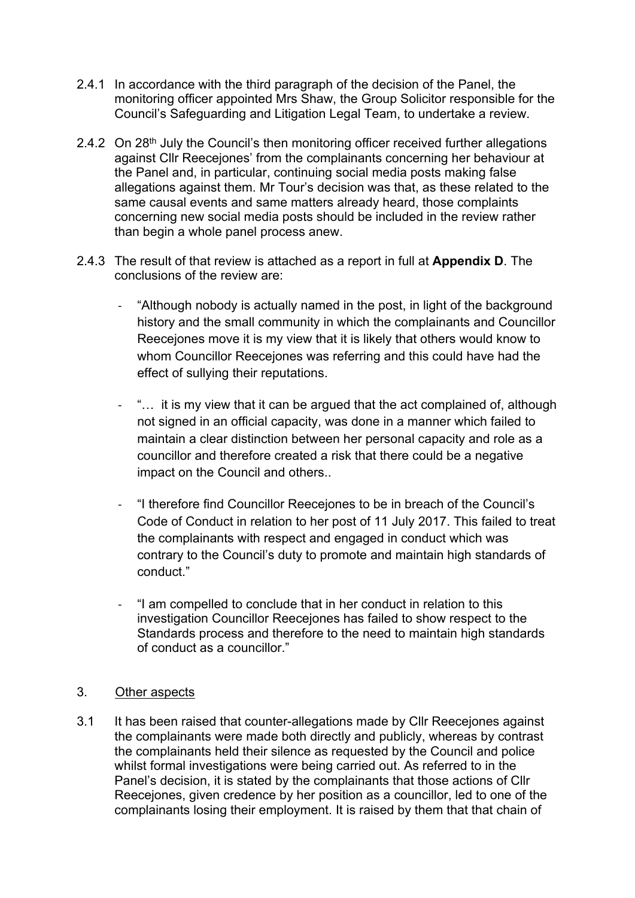- 2.4.1 In accordance with the third paragraph of the decision of the Panel, the monitoring officer appointed Mrs Shaw, the Group Solicitor responsible for the Council's Safeguarding and Litigation Legal Team, to undertake a review.
- 2.4.2 On 28<sup>th</sup> July the Council's then monitoring officer received further allegations against Cllr Reecejones' from the complainants concerning her behaviour at the Panel and, in particular, continuing social media posts making false allegations against them. Mr Tour's decision was that, as these related to the same causal events and same matters already heard, those complaints concerning new social media posts should be included in the review rather than begin a whole panel process anew.
- 2.4.3 The result of that review is attached as a report in full at **Appendix D**. The conclusions of the review are:
	- "Although nobody is actually named in the post, in light of the background history and the small community in which the complainants and Councillor Reecejones move it is my view that it is likely that others would know to whom Councillor Reecejones was referring and this could have had the effect of sullying their reputations.
	- "... it is my view that it can be argued that the act complained of, although not signed in an official capacity, was done in a manner which failed to maintain a clear distinction between her personal capacity and role as a councillor and therefore created a risk that there could be a negative impact on the Council and others..
	- "I therefore find Councillor Reecejones to be in breach of the Council's Code of Conduct in relation to her post of 11 July 2017. This failed to treat the complainants with respect and engaged in conduct which was contrary to the Council's duty to promote and maintain high standards of conduct."
	- "I am compelled to conclude that in her conduct in relation to this investigation Councillor Reecejones has failed to show respect to the Standards process and therefore to the need to maintain high standards of conduct as a councillor."

## 3. Other aspects

3.1 It has been raised that counter-allegations made by Cllr Reecejones against the complainants were made both directly and publicly, whereas by contrast the complainants held their silence as requested by the Council and police whilst formal investigations were being carried out. As referred to in the Panel's decision, it is stated by the complainants that those actions of Cllr Reecejones, given credence by her position as a councillor, led to one of the complainants losing their employment. It is raised by them that that chain of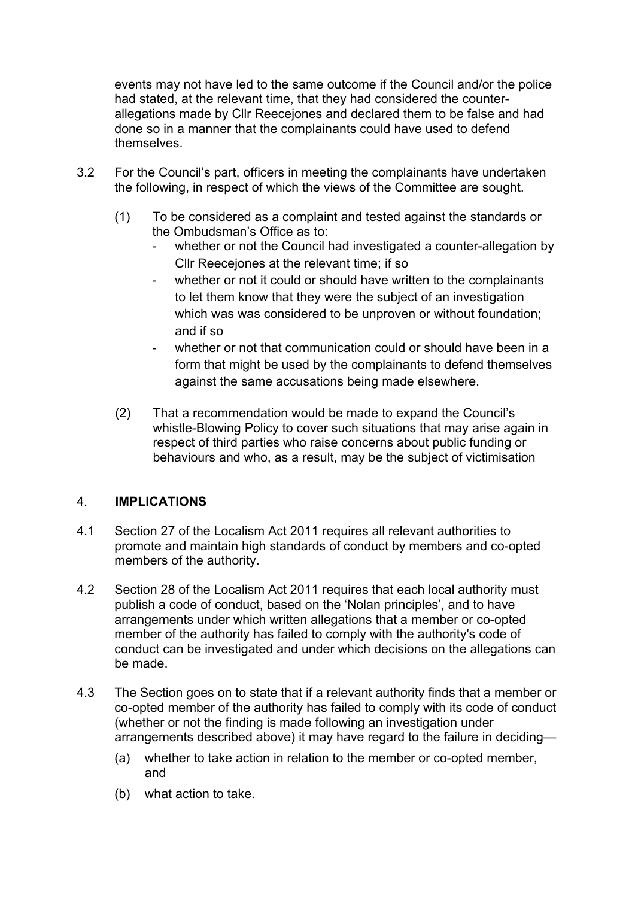events may not have led to the same outcome if the Council and/or the police had stated, at the relevant time, that they had considered the counterallegations made by Cllr Reecejones and declared them to be false and had done so in a manner that the complainants could have used to defend themselves.

- 3.2 For the Council's part, officers in meeting the complainants have undertaken the following, in respect of which the views of the Committee are sought.
	- (1) To be considered as a complaint and tested against the standards or the Ombudsman's Office as to:
		- whether or not the Council had investigated a counter-allegation by Cllr Reecejones at the relevant time; if so
		- whether or not it could or should have written to the complainants to let them know that they were the subject of an investigation which was was considered to be unproven or without foundation; and if so
		- whether or not that communication could or should have been in a form that might be used by the complainants to defend themselves against the same accusations being made elsewhere.
	- (2) That a recommendation would be made to expand the Council's whistle-Blowing Policy to cover such situations that may arise again in respect of third parties who raise concerns about public funding or behaviours and who, as a result, may be the subject of victimisation

## 4. **IMPLICATIONS**

- 4.1 Section 27 of the Localism Act 2011 requires all relevant authorities to promote and maintain high standards of conduct by members and co-opted members of the authority.
- 4.2 Section 28 of the Localism Act 2011 requires that each local authority must publish a code of conduct, based on the 'Nolan principles', and to have arrangements under which written allegations that a member or co-opted member of the authority has failed to comply with the authority's code of conduct can be investigated and under which decisions on the allegations can be made.
- 4.3 The Section goes on to state that if a relevant authority finds that a member or co-opted member of the authority has failed to comply with its code of conduct (whether or not the finding is made following an investigation under arrangements described above) it may have regard to the failure in deciding—
	- (a) whether to take action in relation to the member or co-opted member, and
	- (b) what action to take.